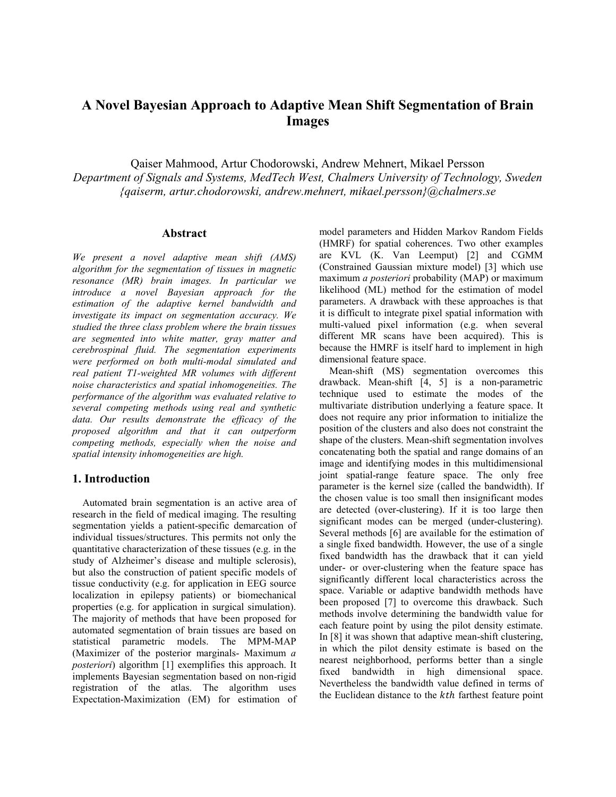# **A Novel Bayesian Approach to Adaptive Mean Shift Segmentation of Brain Images**

Qaiser Mahmood, Artur Chodorowski, Andrew Mehnert, Mikael Persson *Department of Signals and Systems, MedTech West, Chalmers University of Technology, Sweden {qaiserm, artur.chodorowski, andrew.mehnert, mikael.persson}@chalmers.se* 

# **Abstract**

*We present a novel adaptive mean shift (AMS) algorithm for the segmentation of tissues in magnetic resonance (MR) brain images. In particular we introduce a novel Bayesian approach for the estimation of the adaptive kernel bandwidth and investigate its impact on segmentation accuracy. We studied the three class problem where the brain tissues are segmented into white matter, gray matter and cerebrospinal fluid. The segmentation experiments were performed on both multi-modal simulated and real patient T1-weighted MR volumes with different noise characteristics and spatial inhomogeneities. The performance of the algorithm was evaluated relative to several competing methods using real and synthetic data. Our results demonstrate the efficacy of the proposed algorithm and that it can outperform competing methods, especially when the noise and spatial intensity inhomogeneities are high.* 

# **1. Introduction**

 Automated brain segmentation is an active area of research in the field of medical imaging. The resulting segmentation yields a patient-specific demarcation of individual tissues/structures. This permits not only the quantitative characterization of these tissues (e.g. in the study of Alzheimer's disease and multiple sclerosis), but also the construction of patient specific models of tissue conductivity (e.g. for application in EEG source localization in epilepsy patients) or biomechanical properties (e.g. for application in surgical simulation). The majority of methods that have been proposed for automated segmentation of brain tissues are based on statistical parametric models. The MPM-MAP (Maximizer of the posterior marginals- Maximum *a posteriori*) algorithm [1] exemplifies this approach. It implements Bayesian segmentation based on non-rigid registration of the atlas. The algorithm uses Expectation-Maximization (EM) for estimation of model parameters and Hidden Markov Random Fields (HMRF) for spatial coherences. Two other examples are KVL (K. Van Leemput) [2] and CGMM (Constrained Gaussian mixture model) [3] which use maximum *a posteriori* probability (MAP) or maximum likelihood (ML) method for the estimation of model parameters. A drawback with these approaches is that it is difficult to integrate pixel spatial information with multi-valued pixel information (e.g. when several different MR scans have been acquired). This is because the HMRF is itself hard to implement in high dimensional feature space.

 Mean-shift (MS) segmentation overcomes this drawback. Mean-shift [4, 5] is a non-parametric technique used to estimate the modes of the multivariate distribution underlying a feature space. It does not require any prior information to initialize the position of the clusters and also does not constraint the shape of the clusters. Mean-shift segmentation involves concatenating both the spatial and range domains of an image and identifying modes in this multidimensional joint spatial-range feature space. The only free parameter is the kernel size (called the bandwidth). If the chosen value is too small then insignificant modes are detected (over-clustering). If it is too large then significant modes can be merged (under-clustering). Several methods [6] are available for the estimation of a single fixed bandwidth. However, the use of a single fixed bandwidth has the drawback that it can yield under- or over-clustering when the feature space has significantly different local characteristics across the space. Variable or adaptive bandwidth methods have been proposed [7] to overcome this drawback. Such methods involve determining the bandwidth value for each feature point by using the pilot density estimate. In [8] it was shown that adaptive mean-shift clustering, in which the pilot density estimate is based on the nearest neighborhood, performs better than a single fixed bandwidth in high dimensional space. Nevertheless the bandwidth value defined in terms of the Euclidean distance to the *kth* farthest feature point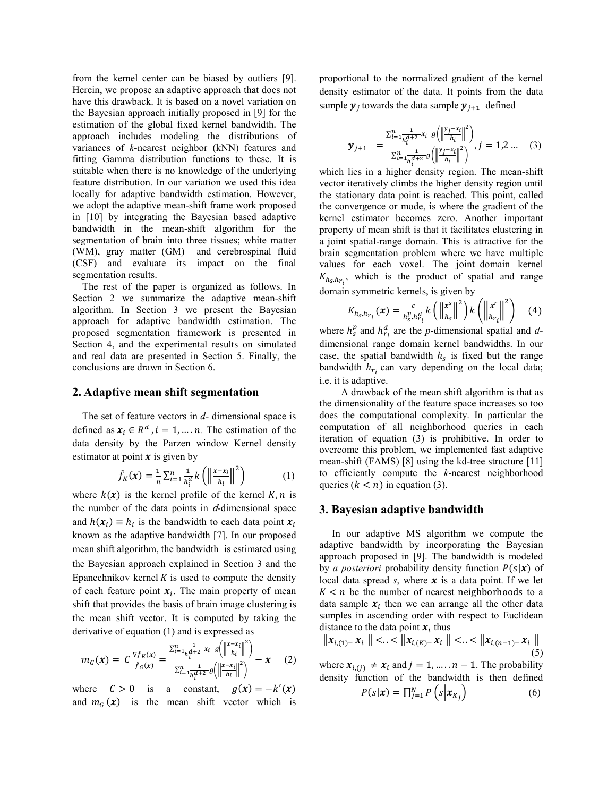from the kernel center can be biased by outliers [9]. Herein, we propose an adaptive approach that does not have this drawback. It is based on a novel variation on the Bayesian approach initially proposed in [9] for the estimation of the global fixed kernel bandwidth. The approach includes modeling the distributions of variances of *k*-nearest neighbor (kNN) features and fitting Gamma distribution functions to these. It is suitable when there is no knowledge of the underlying feature distribution. In our variation we used this idea locally for adaptive bandwidth estimation. However, we adopt the adaptive mean-shift frame work proposed in [10] by integrating the Bayesian based adaptive bandwidth in the mean-shift algorithm for the segmentation of brain into three tissues; white matter (WM), gray matter (GM) and cerebrospinal fluid (CSF) and evaluate its impact on the final segmentation results.

 The rest of the paper is organized as follows. In Section 2 we summarize the adaptive mean-shift algorithm. In Section 3 we present the Bayesian approach for adaptive bandwidth estimation. The proposed segmentation framework is presented in Section 4, and the experimental results on simulated and real data are presented in Section 5. Finally, the conclusions are drawn in Section 6.

#### **2. Adaptive mean shift segmentation**

 The set of feature vectors in *d*- dimensional space is defined as  $x_i \in R^d$ ,  $i = 1, ..., n$ . The estimation of the data density by the Parzen window Kernel density estimator at point  $\boldsymbol{x}$  is given by

$$
\hat{f}_K(\boldsymbol{x}) = \frac{1}{n} \sum_{i=1}^n \frac{1}{h_i^d} k\left(\left\|\frac{\boldsymbol{x} - \boldsymbol{x}_i}{h_i}\right\|^2\right) \tag{1}
$$

where  $k(x)$  is the kernel profile of the kernel  $K, n$  is the number of the data points in d*-*dimensional space and  $h(x_i) \equiv h_i$  is the bandwidth to each data point  $x_i$ known as the adaptive bandwidth [7]. In our proposed mean shift algorithm, the bandwidth is estimated using the Bayesian approach explained in Section 3 and the Epanechnikov kernel  $K$  is used to compute the density of each feature point  $x_i$ . The main property of mean shift that provides the basis of brain image clustering is the mean shift vector. It is computed by taking the derivative of equation (1) and is expressed as

$$
m_G(\mathbf{x}) = C \frac{\nabla f_K(\mathbf{x})}{\hat{f}_G(\mathbf{x})} = \frac{\sum_{i=1}^n \frac{1}{h_i^{d+2}} x_i \left( \left\| \frac{\mathbf{x} - x_i}{h_i} \right\|^2 \right)}{\sum_{i=1}^n \frac{1}{h_i^{d+2}} g\left( \left\| \frac{\mathbf{x} - x_i}{h_i} \right\|^2 \right)} - \mathbf{x} \tag{2}
$$

where  $C > 0$  is a constant,  $g(x) = -k'(x)$ and  $m_G(x)$  is the mean shift vector which is proportional to the normalized gradient of the kernel density estimator of the data. It points from the data sample  $y_i$  towards the data sample  $y_{i+1}$  defined

$$
\mathbf{y}_{j+1} = \frac{\sum_{i=1}^{n} \frac{1}{h_i^{d+2}} x_i \ g\left(\left\|\frac{y_j - x_i}{h_i}\right\|^2\right)}{\sum_{i=1}^{n} \frac{1}{h_i^{d+2}} g\left(\left\|\frac{y_j - x_i}{h_i}\right\|^2\right)}, j = 1, 2 \dots (3)
$$

which lies in a higher density region. The mean-shift vector iteratively climbs the higher density region until the stationary data point is reached. This point, called the convergence or mode, is where the gradient of the kernel estimator becomes zero. Another important property of mean shift is that it facilitates clustering in a joint spatial-range domain. This is attractive for the brain segmentation problem where we have multiple values for each voxel. The joint–domain kernel  $K_{h<sub>s</sub>, h<sub>r<sub>i</sub>}</sub>$ , which is the product of spatial and range domain symmetric kernels, is given by

$$
K_{h_S,h_{r_i}}(\boldsymbol{x}) = \frac{c}{h_S^p, h_{r_i}^d} k\left(\left\|\frac{\boldsymbol{x}^s}{h_S}\right\|^2\right) k\left(\left\|\frac{\boldsymbol{x}^r}{h_{r_i}}\right\|^2\right) \tag{4}
$$

where  $h_s^p$  and  $h_{r_i}^d$  are the *p*-dimensional spatial and *d*dimensional range domain kernel bandwidths. In our case, the spatial bandwidth  $h_s$  is fixed but the range bandwidth  $h_{r_i}$  can vary depending on the local data; i.e. it is adaptive.

A drawback of the mean shift algorithm is that as the dimensionality of the feature space increases so too does the computational complexity. In particular the computation of all neighborhood queries in each iteration of equation (3) is prohibitive. In order to overcome this problem, we implemented fast adaptive mean-shift (FAMS) [8] using the kd-tree structure [11] to efficiently compute the *k*-nearest neighborhood queries  $(k < n)$  in equation (3).

#### **3. Bayesian adaptive bandwidth**

 In our adaptive MS algorithm we compute the adaptive bandwidth by incorporating the Bayesian approach proposed in [9]. The bandwidth is modeled by *a posteriori* probability density function  $P(s|\mathbf{x})$  of local data spread  $s$ , where  $\boldsymbol{x}$  is a data point. If we let  $K < n$  be the number of nearest neighborhoods to a data sample  $x_i$  then we can arrange all the other data samples in ascending order with respect to Euclidean distance to the data point  $x_i$  thus

$$
\|x_{i,(1)}-x_i\| < \cdot < \|x_{i,(K)}-x_i\| < \cdot < \|x_{i,(n-1)}-x_i\| \tag{5}
$$

where  $x_{i,(i)} \neq x_i$  and  $j = 1, \dots, n-1$ . The probability density function of the bandwidth is then defined

$$
P(s|\mathbf{x}) = \prod_{j=1}^{N} P\left(s | \mathbf{x}_{K_j}\right) \tag{6}
$$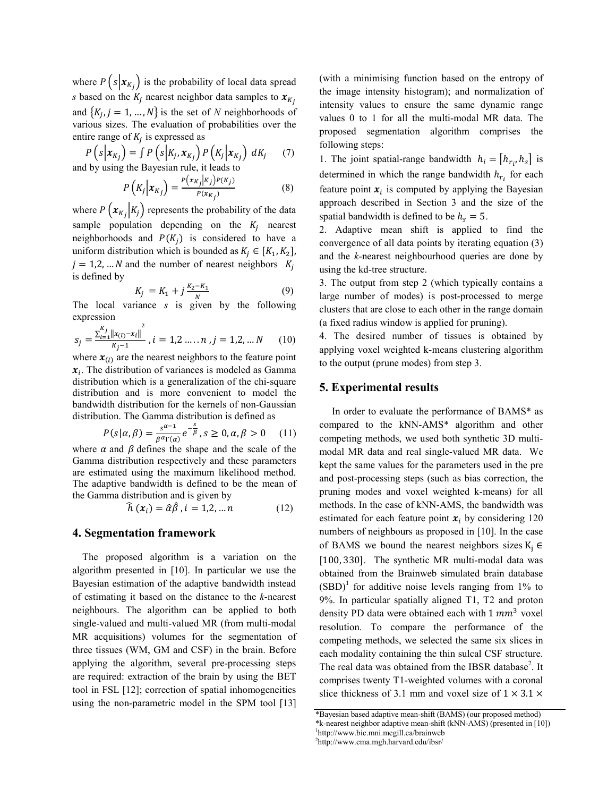where  $P(s|x_{K_i})$  is the probability of local data spread *s* based on the  $K_j$  nearest neighbor data samples to  $\mathbf{x}_{K_j}$ and  $\{K_i, j = 1, ..., N\}$  is the set of *N* neighborhoods of various sizes. The evaluation of probabilities over the entire range of  $K_i$  is expressed as

$$
P(s|x_{K_j}) = \int P(s|K_j, x_{K_j}) P(K_j|x_{K_j}) dK_j
$$
  
and by using the Bayesian rule, it leads to

 $P\left(K_j | \mathbf{x}_{K_j}\right) = \frac{P\left(\mathbf{x}_{K_j} | K_j\right) P(K_j)}{P\left(\mathbf{x}_{K_j}\right)}$  (8)

where  $P\left(x_{K_i} | K_j\right)$  represents the probability of the data sample population depending on the  $K_i$  nearest neighborhoods and  $P(K_i)$  is considered to have a uniform distribution which is bounded as  $K_j \in [K_1, K_2]$ ,  $j = 1,2,... N$  and the number of nearest neighbors  $K_i$ is defined by

$$
K_j = K_1 + j\frac{K_2 - K_1}{N} \tag{9}
$$

The local variance *s* is given by the following expression

$$
s_j = \frac{\sum_{l=1}^{K_j} ||x_{(l)} - x_l||^2}{\kappa_j - 1} \; , i = 1, 2 \ldots \ldots n \; , j = 1, 2, \ldots N \qquad (10)
$$

where  $x_{(l)}$  are the nearest neighbors to the feature point  $x_i$ . The distribution of variances is modeled as Gamma distribution which is a generalization of the chi-square distribution and is more convenient to model the bandwidth distribution for the kernels of non-Gaussian distribution. The Gamma distribution is defined as

$$
P(s|\alpha, \beta) = \frac{s^{\alpha - 1}}{\beta^{\alpha} \Gamma(\alpha)} e^{-\frac{s}{\beta}}, s \ge 0, \alpha, \beta > 0 \quad (11)
$$

where  $\alpha$  and  $\beta$  defines the shape and the scale of the Gamma distribution respectively and these parameters are estimated using the maximum likelihood method. The adaptive bandwidth is defined to be the mean of the Gamma distribution and is given by

$$
\widehat{h}\left(x_{i}\right) = \widehat{\alpha}\widehat{\beta}, i = 1, 2, \dots n \tag{12}
$$

#### **4. Segmentation framework**

 The proposed algorithm is a variation on the algorithm presented in [10]. In particular we use the Bayesian estimation of the adaptive bandwidth instead of estimating it based on the distance to the *k*-nearest neighbours. The algorithm can be applied to both single-valued and multi-valued MR (from multi-modal MR acquisitions) volumes for the segmentation of three tissues (WM, GM and CSF) in the brain. Before applying the algorithm, several pre-processing steps are required: extraction of the brain by using the BET tool in FSL [12]; correction of spatial inhomogeneities using the non-parametric model in the SPM tool [13]

(with a minimising function based on the entropy of the image intensity histogram); and normalization of intensity values to ensure the same dynamic range values 0 to 1 for all the multi-modal MR data. The proposed segmentation algorithm comprises the following steps:

1. The joint spatial-range bandwidth  $h_i = [h_{r_i}, h_s]$  is determined in which the range bandwidth  $h_{r_i}$  for each feature point  $x_i$  is computed by applying the Bayesian approach described in Section 3 and the size of the spatial bandwidth is defined to be  $h<sub>s</sub> = 5$ .

2. Adaptive mean shift is applied to find the convergence of all data points by iterating equation (3) and the *k*-nearest neighbourhood queries are done by using the kd-tree structure.

3. The output from step 2 (which typically contains a large number of modes) is post-processed to merge clusters that are close to each other in the range domain (a fixed radius window is applied for pruning).

4. The desired number of tissues is obtained by applying voxel weighted k-means clustering algorithm to the output (prune modes) from step 3.

## **5. Experimental results**

 In order to evaluate the performance of BAMS\* as compared to the kNN-AMS\* algorithm and other competing methods, we used both synthetic 3D multimodal MR data and real single-valued MR data. We kept the same values for the parameters used in the pre and post-processing steps (such as bias correction, the pruning modes and voxel weighted k-means) for all methods. In the case of kNN-AMS, the bandwidth was estimated for each feature point  $x_i$  by considering 120 numbers of neighbours as proposed in [10]. In the case of BAMS we bound the nearest neighbors sizes  $K_i \in$  $[100, 330]$ . The synthetic MR multi-modal data was obtained from the Brainweb simulated brain database  $(SBD)^1$  for additive noise levels ranging from 1% to 9%. In particular spatially aligned T1, T2 and proton density PD data were obtained each with  $1 mm<sup>3</sup>$  voxel resolution. To compare the performance of the competing methods, we selected the same six slices in each modality containing the thin sulcal CSF structure. The real data was obtained from the IBSR database<sup>2</sup>. It comprises twenty T1-weighted volumes with a coronal slice thickness of 3.1 mm and voxel size of  $1 \times 3.1 \times$ 

<sup>\*</sup>Bayesian based adaptive mean-shift (BAMS) (our proposed method) \*k-nearest neighbor adaptive mean-shift (kNN-AMS) (presented in [10]) 1 http://www.bic.mni.mcgill.ca/brainweb 2 http://www.cma.mgh.harvard.edu/ibsr/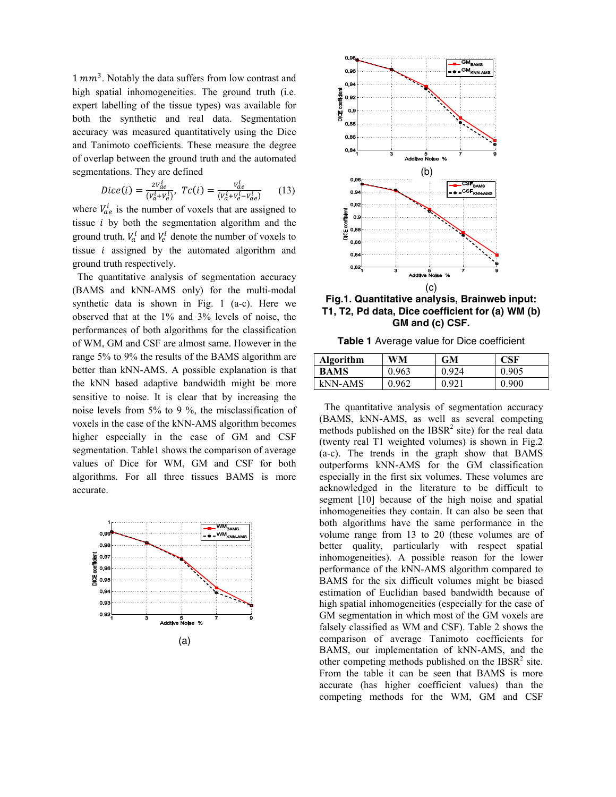$1 mm<sup>3</sup>$ . Notably the data suffers from low contrast and high spatial inhomogeneities. The ground truth (i.e. expert labelling of the tissue types) was available for both the synthetic and real data. Segmentation accuracy was measured quantitatively using the Dice and Tanimoto coefficients. These measure the degree of overlap between the ground truth and the automated segmentations. They are defined

$$
Dice(i) = \frac{2v_{de}^i}{(v_a^i + v_e^i)}, \ Tc(i) = \frac{v_{de}^i}{(v_a^i + v_e^i - v_{ae}^i)} \tag{13}
$$

where  $V_{ae}^{i}$  is the number of voxels that are assigned to tissue  $i$  by both the segmentation algorithm and the ground truth,  $V_a^i$  and  $V_e^i$  denote the number of voxels to tissue  $i$  assigned by the automated algorithm and ground truth respectively.

 The quantitative analysis of segmentation accuracy (BAMS and kNN-AMS only) for the multi-modal synthetic data is shown in Fig. 1 (a-c). Here we observed that at the 1% and 3% levels of noise, the performances of both algorithms for the classification of WM, GM and CSF are almost same. However in the range 5% to 9% the results of the BAMS algorithm are better than kNN-AMS. A possible explanation is that the kNN based adaptive bandwidth might be more sensitive to noise. It is clear that by increasing the noise levels from 5% to 9 %, the misclassification of voxels in the case of the kNN-AMS algorithm becomes higher especially in the case of GM and CSF segmentation. Table1 shows the comparison of average values of Dice for WM, GM and CSF for both algorithms. For all three tissues BAMS is more accurate.





**Fig.1. Quantitative analysis, Brainweb input: T1, T2, Pd data, Dice coefficient for (a) WM (b) GM and (c) CSF.** 

**Table 1** Average value for Dice coefficient

| <b>Algorithm</b> | WM    | <b>GM</b> | <b>CSF</b> |
|------------------|-------|-----------|------------|
| <b>BAMS</b>      | 0.963 | 0.924     | 0.905      |
| kNN-AMS          | 0.962 | 0.921     | 0.900      |

 The quantitative analysis of segmentation accuracy (BAMS, kNN-AMS, as well as several competing methods published on the  $IBSR<sup>2</sup>$  site) for the real data (twenty real T1 weighted volumes) is shown in Fig.2 (a-c). The trends in the graph show that BAMS outperforms kNN-AMS for the GM classification especially in the first six volumes. These volumes are acknowledged in the literature to be difficult to segment [10] because of the high noise and spatial inhomogeneities they contain. It can also be seen that both algorithms have the same performance in the volume range from 13 to 20 (these volumes are of better quality, particularly with respect spatial inhomogeneities). A possible reason for the lower performance of the kNN-AMS algorithm compared to BAMS for the six difficult volumes might be biased estimation of Euclidian based bandwidth because of high spatial inhomogeneities (especially for the case of GM segmentation in which most of the GM voxels are falsely classified as WM and CSF). Table 2 shows the comparison of average Tanimoto coefficients for BAMS, our implementation of kNN-AMS, and the other competing methods published on the  $IBSR<sup>2</sup>$  site. From the table it can be seen that BAMS is more accurate (has higher coefficient values) than the competing methods for the WM, GM and CSF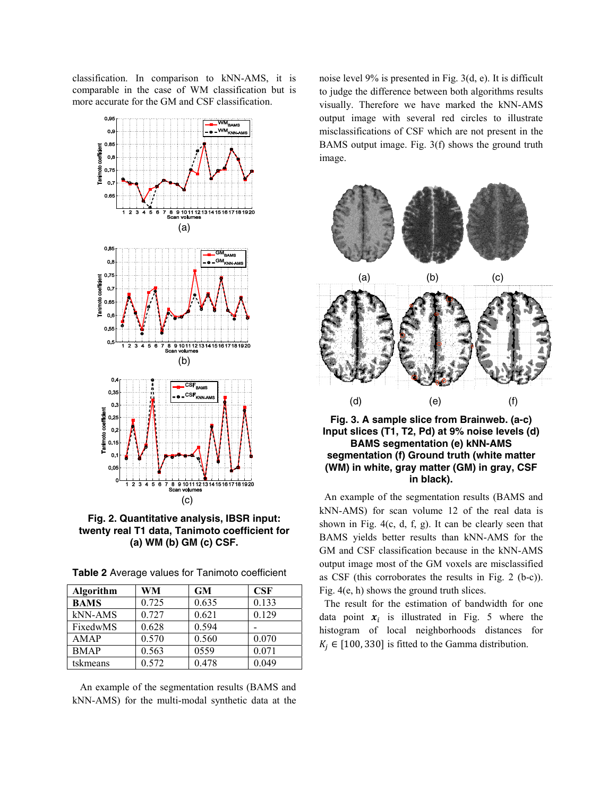classification. In comparison to kNN-AMS, it is comparable in the case of WM classification but is more accurate for the GM and CSF classification.



**Fig. 2. Quantitative analysis, IBSR input: twenty real T1 data, Tanimoto coefficient for (a) WM (b) GM (c) CSF.** 

| Table 2 Average values for Tanimoto coefficient |  |  |
|-------------------------------------------------|--|--|
|-------------------------------------------------|--|--|

| <b>Algorithm</b> | WM    | <b>GM</b> | CSF   |
|------------------|-------|-----------|-------|
| <b>BAMS</b>      | 0.725 | 0.635     | 0.133 |
| kNN-AMS          | 0.727 | 0.621     | 0.129 |
| FixedwMS         | 0.628 | 0.594     |       |
| AMAP             | 0.570 | 0.560     | 0.070 |
| <b>BMAP</b>      | 0.563 | 0559      | 0.071 |
| tskmeans         | 0.572 | 0.478     | 0.049 |

 An example of the segmentation results (BAMS and kNN-AMS) for the multi-modal synthetic data at the noise level 9% is presented in Fig. 3(d, e). It is difficult to judge the difference between both algorithms results visually. Therefore we have marked the kNN-AMS output image with several red circles to illustrate misclassifications of CSF which are not present in the BAMS output image. Fig. 3(f) shows the ground truth image.



**Fig. 3. A sample slice from Brainweb. (a-c) Input slices (T1, T2, Pd) at 9% noise levels (d) BAMS segmentation (e) kNN-AMS segmentation (f) Ground truth (white matter (WM) in white, gray matter (GM) in gray, CSF in black).** 

 An example of the segmentation results (BAMS and kNN-AMS) for scan volume 12 of the real data is shown in Fig. 4(c, d, f, g). It can be clearly seen that BAMS yields better results than kNN-AMS for the GM and CSF classification because in the kNN-AMS output image most of the GM voxels are misclassified as CSF (this corroborates the results in Fig. 2 (b-c)). Fig. 4(e, h) shows the ground truth slices.

 The result for the estimation of bandwidth for one data point  $x_i$  is illustrated in Fig. 5 where the histogram of local neighborhoods distances for  $K_j \in [100, 330]$  is fitted to the Gamma distribution.